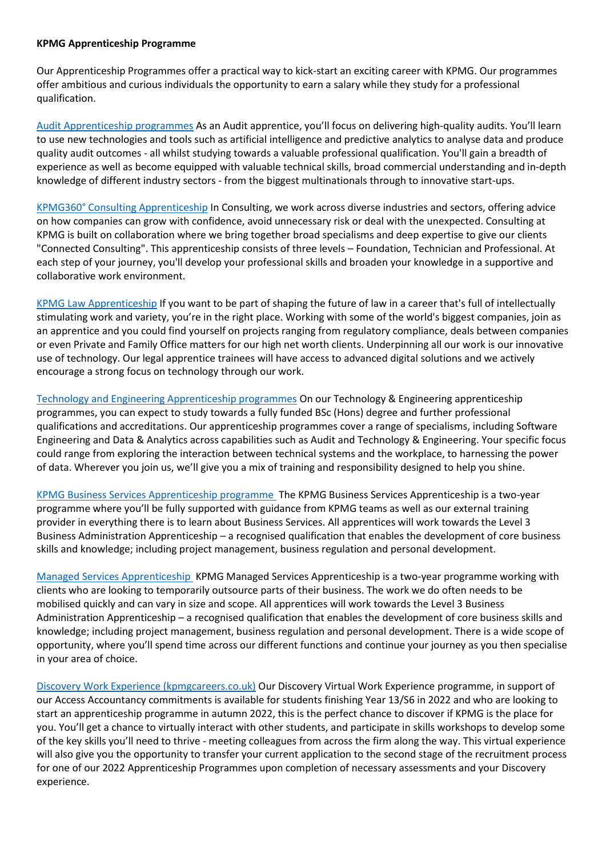## **KPMG Apprenticeship Programme**

Our Apprenticeship Programmes offer a practical way to kick-start an exciting career with KPMG. Our programmes offer ambitious and curious individuals the opportunity to earn a salary while they study for a professional qualification.

[Audit Apprenticeship programmes](https://www.kpmgcareers.co.uk/apprentice/audit-apprenticeship-programmes/) As an Audit apprentice, you'll focus on delivering high-quality audits. You'll learn to use new technologies and tools such as artificial intelligence and predictive analytics to analyse data and produce quality audit outcomes - all whilst studying towards a valuable professional qualification. You'll gain a breadth of experience as well as become equipped with valuable technical skills, broad commercial understanding and in-depth knowledge of different industry sectors - from the biggest multinationals through to innovative start-ups.

[KPMG360° Consulting Apprenticeship](https://www.kpmgcareers.co.uk/apprentice/kpmg360-consulting-apprenticeship/) In Consulting, we work across diverse industries and sectors, offering advice on how companies can grow with confidence, avoid unnecessary risk or deal with the unexpected. Consulting at KPMG is built on collaboration where we bring together broad specialisms and deep expertise to give our clients "Connected Consulting". This apprenticeship consists of three levels – Foundation, Technician and Professional. At each step of your journey, you'll develop your professional skills and broaden your knowledge in a supportive and collaborative work environment.

[KPMG Law Apprenticeship](https://www.kpmgcareers.co.uk/apprentice/kpmg-law-apprenticeship/) If you want to be part of shaping the future of law in a career that's full of intellectually stimulating work and variety, you're in the right place. Working with some of the world's biggest companies, join as an apprentice and you could find yourself on projects ranging from regulatory compliance, deals between companies or even Private and Family Office matters for our high net worth clients. Underpinning all our work is our innovative use of technology. Our legal apprentice trainees will have access to advanced digital solutions and we actively encourage a strong focus on technology through our work.

[Technology and Engineering Apprenticeship programmes](https://www.kpmgcareers.co.uk/apprentice/technology-and-engineering-apprenticeship-programmes/) On our Technology & Engineering apprenticeship programmes, you can expect to study towards a fully funded BSc (Hons) degree and further professional qualifications and accreditations. Our apprenticeship programmes cover a range of specialisms, including Software Engineering and Data & Analytics across capabilities such as Audit and Technology & Engineering. Your specific focus could range from exploring the interaction between technical systems and the workplace, to harnessing the power of data. Wherever you join us, we'll give you a mix of training and responsibility designed to help you shine.

[KPMG Business Services Apprenticeship programme](https://www.kpmgcareers.co.uk/apprentice/kpmg-business-services-apprenticeship-programme/) The KPMG Business Services Apprenticeship is a two-year programme where you'll be fully supported with guidance from KPMG teams as well as our external training provider in everything there is to learn about Business Services. All apprentices will work towards the Level 3 Business Administration Apprenticeship – a recognised qualification that enables the development of core business skills and knowledge; including project management, business regulation and personal development.

[Managed Services Apprenticeship](https://www.kpmgcareers.co.uk/apprentice/managed-services-apprenticeship/) KPMG Managed Services Apprenticeship is a two-year programme working with clients who are looking to temporarily outsource parts of their business. The work we do often needs to be mobilised quickly and can vary in size and scope. All apprentices will work towards the Level 3 Business Administration Apprenticeship – a recognised qualification that enables the development of core business skills and knowledge; including project management, business regulation and personal development. There is a wide scope of opportunity, where you'll spend time across our different functions and continue your journey as you then specialise in your area of choice.

[Discovery Work Experience \(kpmgcareers.co.uk\)](https://www.kpmgcareers.co.uk/apprentice/discovery-work-experience/) Our Discovery Virtual Work Experience programme, in support of our Access Accountancy commitments is available for students finishing Year 13/S6 in 2022 and who are looking to start an apprenticeship programme in autumn 2022, this is the perfect chance to discover if KPMG is the place for you. You'll get a chance to virtually interact with other students, and participate in skills workshops to develop some of the key skills you'll need to thrive - meeting colleagues from across the firm along the way. This virtual experience will also give you the opportunity to transfer your current application to the second stage of the recruitment process for one of our 2022 Apprenticeship Programmes upon completion of necessary assessments and your Discovery experience.